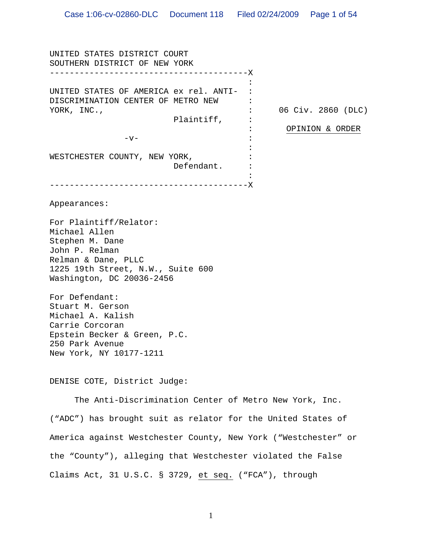UNITED STATES DISTRICT COURT SOUTHERN DISTRICT OF NEW YORK ---------------------------------------- X UNITED STATES OF AMERICA ex rel. ANTI- : DISCRIMINATION CENTER OF METRO NEW YORK, INC., Plaintiff, :  $-v-$ WESTCHESTER COUNTY, NEW YORK, Defendant. ---------------------------------------- X :  $\cdot$  : : 06 Civ. 2860 (DLC) : : : : : : OPINION & ORDER Appearances: For Plaintiff/Relator: Michael Allen Stephen M. Dane

John P. Relman Relman & Dane, PLLC 1225 19th Street, N.W., Suite 600 Washington, DC 20036-2456

For Defendant: Stuart M. Gerson Michael A. Kalish Carrie Corcoran Epstein Becker & Green, P.C. 250 Park Avenue New York, NY 10177-1211

DENISE COTE, District Judge:

 The Anti-Discrimination Center of Metro New York, Inc. ("ADC") has brought suit as relator for the United States of America against Westchester County, New York ("Westchester" or the "County"), alleging that Westchester violated the False Claims Act, 31 U.S.C. § 3729, et seq. ("FCA"), through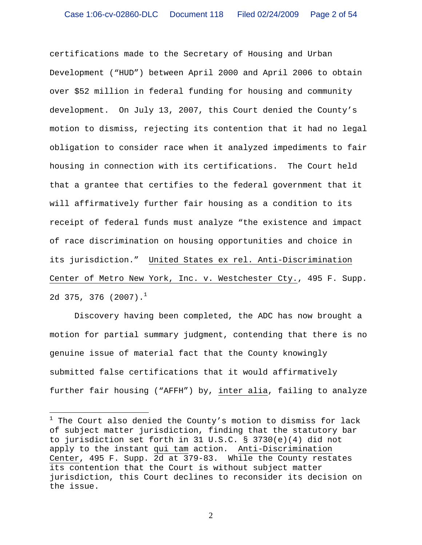certifications made to the Secretary of Housing and Urban Development ("HUD") between April 2000 and April 2006 to obtain over \$52 million in federal funding for housing and community development. On July 13, 2007, this Court denied the County's motion to dismiss, rejecting its contention that it had no legal obligation to consider race when it analyzed impediments to fair housing in connection with its certifications. The Court held that a grantee that certifies to the federal government that it will affirmatively further fair housing as a condition to its receipt of federal funds must analyze "the existence and impact of race discrimination on housing opportunities and choice in its jurisdiction." United States ex rel. Anti-Discrimination Center of Metro New York, Inc. v. Westchester Cty., 495 F. Supp. 2d 375, 376 (2007). $^1$ 

Discovery having been completed, the ADC has now brought a motion for partial summary judgment, contending that there is no genuine issue of material fact that the County knowingly submitted false certifications that it would affirmatively further fair housing ("AFFH") by, inter alia, failing to analyze

 $\overline{a}$ 

<sup>&</sup>lt;sup>1</sup> The Court also denied the County's motion to dismiss for lack of subject matter jurisdiction, finding that the statutory bar to jurisdiction set forth in 31 U.S.C. § 3730(e)(4) did not apply to the instant qui tam action. Anti-Discrimination Center, 495 F. Supp. 2d at 379-83. While the County restates its contention that the Court is without subject matter jurisdiction, this Court declines to reconsider its decision on the issue.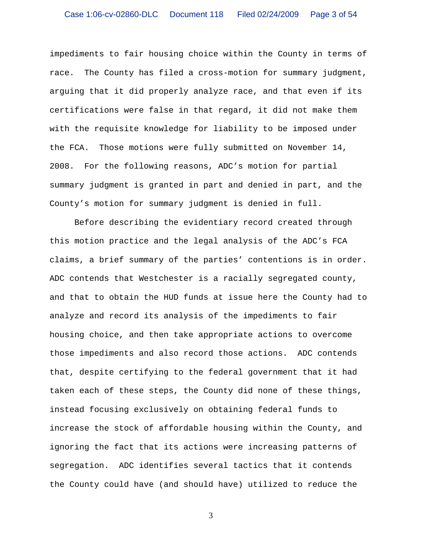impediments to fair housing choice within the County in terms of race. The County has filed a cross-motion for summary judgment, arguing that it did properly analyze race, and that even if its certifications were false in that regard, it did not make them with the requisite knowledge for liability to be imposed under the FCA. Those motions were fully submitted on November 14, 2008. For the following reasons, ADC's motion for partial summary judgment is granted in part and denied in part, and the County's motion for summary judgment is denied in full.

Before describing the evidentiary record created through this motion practice and the legal analysis of the ADC's FCA claims, a brief summary of the parties' contentions is in order. ADC contends that Westchester is a racially segregated county, and that to obtain the HUD funds at issue here the County had to analyze and record its analysis of the impediments to fair housing choice, and then take appropriate actions to overcome those impediments and also record those actions. ADC contends that, despite certifying to the federal government that it had taken each of these steps, the County did none of these things, instead focusing exclusively on obtaining federal funds to increase the stock of affordable housing within the County, and ignoring the fact that its actions were increasing patterns of segregation. ADC identifies several tactics that it contends the County could have (and should have) utilized to reduce the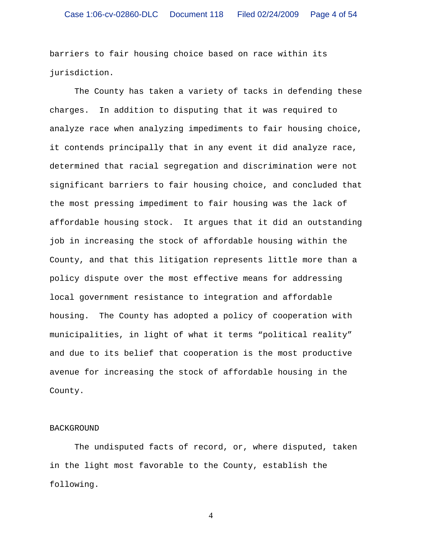barriers to fair housing choice based on race within its jurisdiction.

The County has taken a variety of tacks in defending these charges. In addition to disputing that it was required to analyze race when analyzing impediments to fair housing choice, it contends principally that in any event it did analyze race, determined that racial segregation and discrimination were not significant barriers to fair housing choice, and concluded that the most pressing impediment to fair housing was the lack of affordable housing stock. It argues that it did an outstanding job in increasing the stock of affordable housing within the County, and that this litigation represents little more than a policy dispute over the most effective means for addressing local government resistance to integration and affordable housing. The County has adopted a policy of cooperation with municipalities, in light of what it terms "political reality" and due to its belief that cooperation is the most productive avenue for increasing the stock of affordable housing in the County.

#### BACKGROUND

The undisputed facts of record, or, where disputed, taken in the light most favorable to the County, establish the following.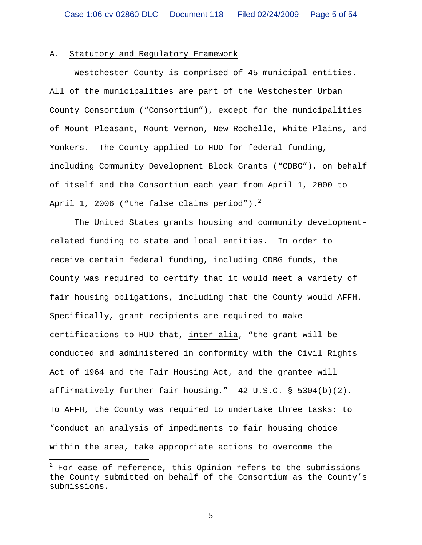#### A. Statutory and Regulatory Framework

Westchester County is comprised of 45 municipal entities. All of the municipalities are part of the Westchester Urban County Consortium ("Consortium"), except for the municipalities of Mount Pleasant, Mount Vernon, New Rochelle, White Plains, and Yonkers. The County applied to HUD for federal funding, including Community Development Block Grants ("CDBG"), on behalf of itself and the Consortium each year from April 1, 2000 to April 1, 2006 ("the false claims period"). $^2$ 

The United States grants housing and community developmentrelated funding to state and local entities. In order to receive certain federal funding, including CDBG funds, the County was required to certify that it would meet a variety of fair housing obligations, including that the County would AFFH. Specifically, grant recipients are required to make certifications to HUD that, inter alia, "the grant will be conducted and administered in conformity with the Civil Rights Act of 1964 and the Fair Housing Act, and the grantee will affirmatively further fair housing." 42 U.S.C. § 5304(b)(2). To AFFH, the County was required to undertake three tasks: to "conduct an analysis of impediments to fair housing choice within the area, take appropriate actions to overcome the

 $\overline{a}$ 

 $^2$  For ease of reference, this Opinion refers to the submissions the County submitted on behalf of the Consortium as the County's submissions.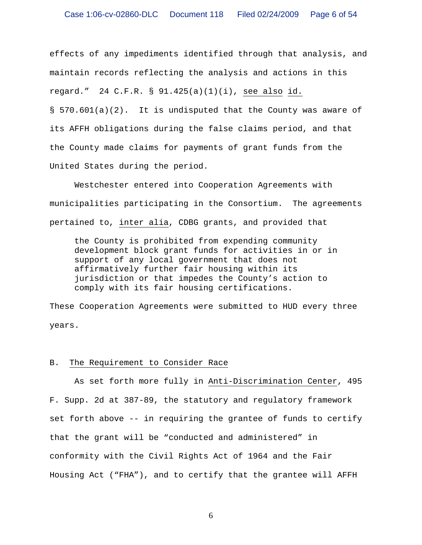effects of any impediments identified through that analysis, and maintain records reflecting the analysis and actions in this regard." 24 C.F.R. § 91.425(a)(1)(i), see also id. § 570.601(a)(2). It is undisputed that the County was aware of its AFFH obligations during the false claims period, and that

United States during the period.

Westchester entered into Cooperation Agreements with municipalities participating in the Consortium. The agreements pertained to, inter alia, CDBG grants, and provided that

the County made claims for payments of grant funds from the

the County is prohibited from expending community development block grant funds for activities in or in support of any local government that does not affirmatively further fair housing within its jurisdiction or that impedes the County's action to comply with its fair housing certifications.

These Cooperation Agreements were submitted to HUD every three years.

## B. The Requirement to Consider Race

As set forth more fully in Anti-Discrimination Center, 495 F. Supp. 2d at 387-89, the statutory and regulatory framework set forth above -- in requiring the grantee of funds to certify that the grant will be "conducted and administered" in conformity with the Civil Rights Act of 1964 and the Fair Housing Act ("FHA"), and to certify that the grantee will AFFH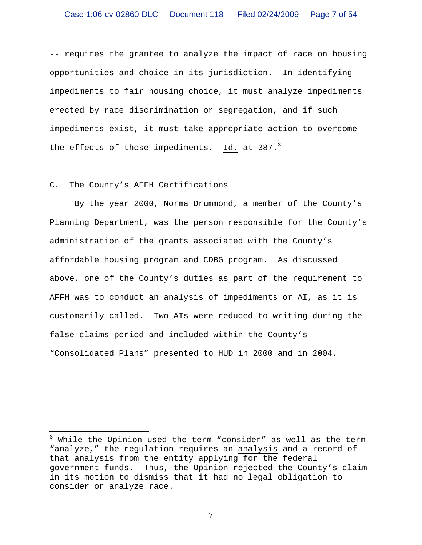-- requires the grantee to analyze the impact of race on housing opportunities and choice in its jurisdiction. In identifying impediments to fair housing choice, it must analyze impediments erected by race discrimination or segregation, and if such impediments exist, it must take appropriate action to overcome the effects of those impediments.  $Id.$  at 387.<sup>3</sup>

#### C. The County's AFFH Certifications

 $\overline{a}$ 

By the year 2000, Norma Drummond, a member of the County's Planning Department, was the person responsible for the County's administration of the grants associated with the County's affordable housing program and CDBG program. As discussed above, one of the County's duties as part of the requirement to AFFH was to conduct an analysis of impediments or AI, as it is customarily called. Two AIs were reduced to writing during the false claims period and included within the County's "Consolidated Plans" presented to HUD in 2000 and in 2004.

<sup>&</sup>lt;sup>3</sup> While the Opinion used the term "consider" as well as the term "analyze," the regulation requires an analysis and a record of that analysis from the entity applying for the federal government funds. Thus, the Opinion rejected the County's claim in its motion to dismiss that it had no legal obligation to consider or analyze race.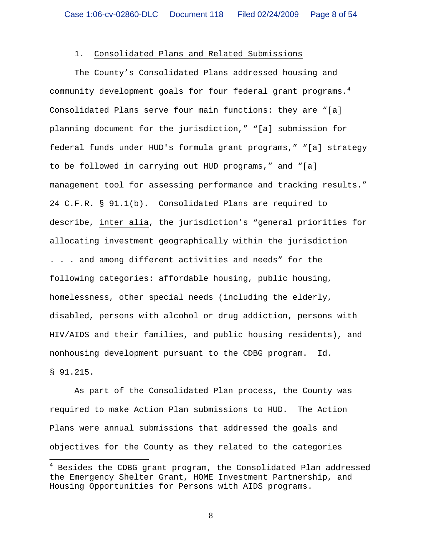## 1. Consolidated Plans and Related Submissions

 The County's Consolidated Plans addressed housing and community development goals for four federal grant programs. $^4$ Consolidated Plans serve four main functions: they are "[a] planning document for the jurisdiction," "[a] submission for federal funds under HUD's formula grant programs," "[a] strategy to be followed in carrying out HUD programs," and "[a] management tool for assessing performance and tracking results." 24 C.F.R. § 91.1(b). Consolidated Plans are required to describe, inter alia, the jurisdiction's "general priorities for allocating investment geographically within the jurisdiction . . . and among different activities and needs" for the following categories: affordable housing, public housing, homelessness, other special needs (including the elderly, disabled, persons with alcohol or drug addiction, persons with HIV/AIDS and their families, and public housing residents), and

nonhousing development pursuant to the CDBG program. Id.

§ 91.215.

<u>.</u>

As part of the Consolidated Plan process, the County was required to make Action Plan submissions to HUD. The Action Plans were annual submissions that addressed the goals and objectives for the County as they related to the categories

 $^4$  Besides the CDBG grant program, the Consolidated Plan addressed the Emergency Shelter Grant, HOME Investment Partnership, and Housing Opportunities for Persons with AIDS programs.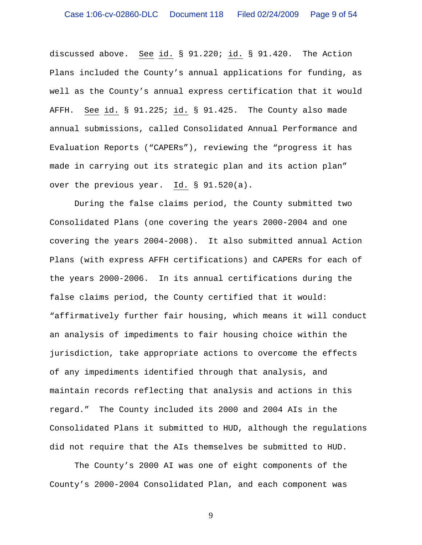discussed above. See id. § 91.220; id. § 91.420. The Action Plans included the County's annual applications for funding, as well as the County's annual express certification that it would AFFH. See id. § 91.225; id. § 91.425. The County also made annual submissions, called Consolidated Annual Performance and Evaluation Reports ("CAPERs"), reviewing the "progress it has made in carrying out its strategic plan and its action plan" over the previous year. Id. § 91.520(a).

During the false claims period, the County submitted two Consolidated Plans (one covering the years 2000-2004 and one covering the years 2004-2008). It also submitted annual Action Plans (with express AFFH certifications) and CAPERs for each of the years 2000-2006. In its annual certifications during the false claims period, the County certified that it would: "affirmatively further fair housing, which means it will conduct an analysis of impediments to fair housing choice within the jurisdiction, take appropriate actions to overcome the effects of any impediments identified through that analysis, and maintain records reflecting that analysis and actions in this regard." The County included its 2000 and 2004 AIs in the Consolidated Plans it submitted to HUD, although the regulations did not require that the AIs themselves be submitted to HUD.

The County's 2000 AI was one of eight components of the County's 2000-2004 Consolidated Plan, and each component was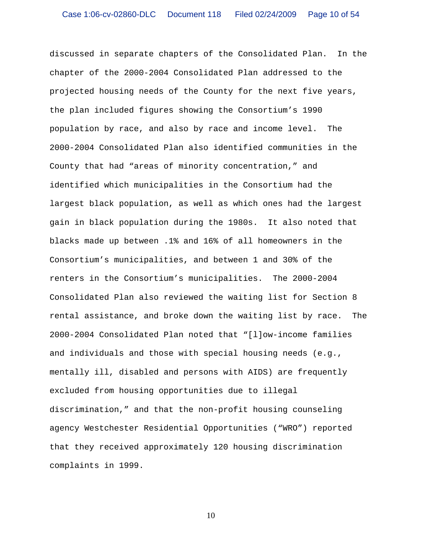discussed in separate chapters of the Consolidated Plan. In the chapter of the 2000-2004 Consolidated Plan addressed to the projected housing needs of the County for the next five years, the plan included figures showing the Consortium's 1990 population by race, and also by race and income level. The 2000-2004 Consolidated Plan also identified communities in the County that had "areas of minority concentration," and identified which municipalities in the Consortium had the largest black population, as well as which ones had the largest gain in black population during the 1980s. It also noted that blacks made up between .1% and 16% of all homeowners in the Consortium's municipalities, and between 1 and 30% of the renters in the Consortium's municipalities. The 2000-2004 Consolidated Plan also reviewed the waiting list for Section 8 rental assistance, and broke down the waiting list by race. The 2000-2004 Consolidated Plan noted that "[l]ow-income families and individuals and those with special housing needs (e.g., mentally ill, disabled and persons with AIDS) are frequently excluded from housing opportunities due to illegal discrimination," and that the non-profit housing counseling agency Westchester Residential Opportunities ("WRO") reported that they received approximately 120 housing discrimination complaints in 1999.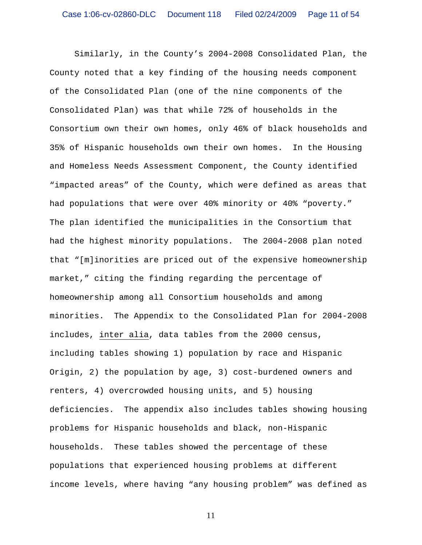Similarly, in the County's 2004-2008 Consolidated Plan, the County noted that a key finding of the housing needs component of the Consolidated Plan (one of the nine components of the Consolidated Plan) was that while 72% of households in the Consortium own their own homes, only 46% of black households and 35% of Hispanic households own their own homes. In the Housing and Homeless Needs Assessment Component, the County identified "impacted areas" of the County, which were defined as areas that had populations that were over 40% minority or 40% "poverty." The plan identified the municipalities in the Consortium that had the highest minority populations. The 2004-2008 plan noted that "[m]inorities are priced out of the expensive homeownership market," citing the finding regarding the percentage of homeownership among all Consortium households and among minorities. The Appendix to the Consolidated Plan for 2004-2008 includes, inter alia, data tables from the 2000 census, including tables showing 1) population by race and Hispanic Origin, 2) the population by age, 3) cost-burdened owners and renters, 4) overcrowded housing units, and 5) housing deficiencies. The appendix also includes tables showing housing problems for Hispanic households and black, non-Hispanic households. These tables showed the percentage of these populations that experienced housing problems at different income levels, where having "any housing problem" was defined as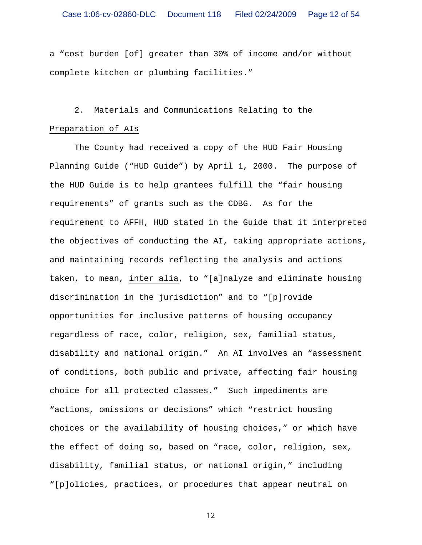a "cost burden [of] greater than 30% of income and/or without complete kitchen or plumbing facilities."

## 2. Materials and Communications Relating to the

## Preparation of AIs

The County had received a copy of the HUD Fair Housing Planning Guide ("HUD Guide") by April 1, 2000. The purpose of the HUD Guide is to help grantees fulfill the "fair housing requirements" of grants such as the CDBG. As for the requirement to AFFH, HUD stated in the Guide that it interpreted the objectives of conducting the AI, taking appropriate actions, and maintaining records reflecting the analysis and actions taken, to mean, inter alia, to "[a]nalyze and eliminate housing discrimination in the jurisdiction" and to "[p]rovide opportunities for inclusive patterns of housing occupancy regardless of race, color, religion, sex, familial status, disability and national origin." An AI involves an "assessment of conditions, both public and private, affecting fair housing choice for all protected classes." Such impediments are "actions, omissions or decisions" which "restrict housing choices or the availability of housing choices," or which have the effect of doing so, based on "race, color, religion, sex, disability, familial status, or national origin," including "[p]olicies, practices, or procedures that appear neutral on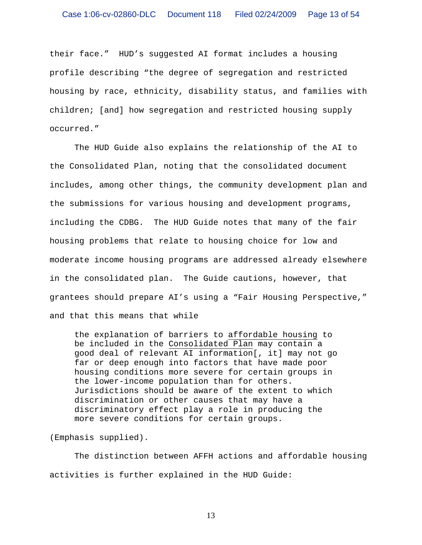their face." HUD's suggested AI format includes a housing profile describing "the degree of segregation and restricted housing by race, ethnicity, disability status, and families with children; [and] how segregation and restricted housing supply occurred."

 The HUD Guide also explains the relationship of the AI to the Consolidated Plan, noting that the consolidated document includes, among other things, the community development plan and the submissions for various housing and development programs, including the CDBG. The HUD Guide notes that many of the fair housing problems that relate to housing choice for low and moderate income housing programs are addressed already elsewhere in the consolidated plan. The Guide cautions, however, that grantees should prepare AI's using a "Fair Housing Perspective," and that this means that while

the explanation of barriers to affordable housing to be included in the Consolidated Plan may contain a good deal of relevant AI information[, it] may not go far or deep enough into factors that have made poor housing conditions more severe for certain groups in the lower-income population than for others. Jurisdictions should be aware of the extent to which discrimination or other causes that may have a discriminatory effect play a role in producing the more severe conditions for certain groups.

(Emphasis supplied).

The distinction between AFFH actions and affordable housing activities is further explained in the HUD Guide: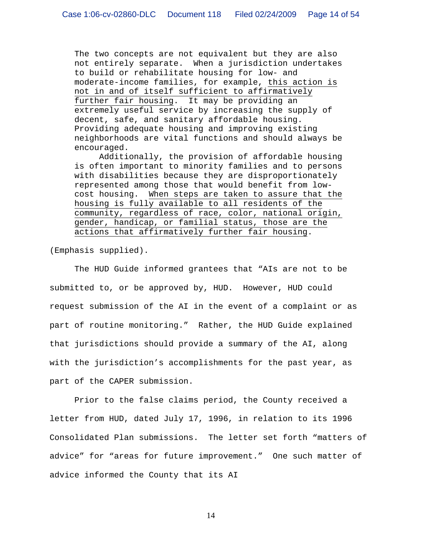The two concepts are not equivalent but they are also not entirely separate. When a jurisdiction undertakes to build or rehabilitate housing for low- and moderate-income families, for example, this action is not in and of itself sufficient to affirmatively further fair housing. It may be providing an extremely useful service by increasing the supply of decent, safe, and sanitary affordable housing. Providing adequate housing and improving existing neighborhoods are vital functions and should always be encouraged.

 Additionally, the provision of affordable housing is often important to minority families and to persons with disabilities because they are disproportionately represented among those that would benefit from lowcost housing. When steps are taken to assure that the housing is fully available to all residents of the community, regardless of race, color, national origin, gender, handicap, or familial status, those are the actions that affirmatively further fair housing.

(Emphasis supplied).

 The HUD Guide informed grantees that "AIs are not to be submitted to, or be approved by, HUD. However, HUD could request submission of the AI in the event of a complaint or as part of routine monitoring." Rather, the HUD Guide explained that jurisdictions should provide a summary of the AI, along with the jurisdiction's accomplishments for the past year, as part of the CAPER submission.

Prior to the false claims period, the County received a letter from HUD, dated July 17, 1996, in relation to its 1996 Consolidated Plan submissions. The letter set forth "matters of advice" for "areas for future improvement." One such matter of advice informed the County that its AI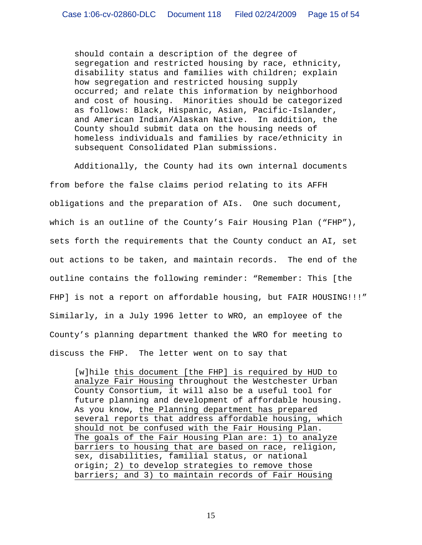should contain a description of the degree of segregation and restricted housing by race, ethnicity, disability status and families with children; explain how segregation and restricted housing supply occurred; and relate this information by neighborhood and cost of housing. Minorities should be categorized as follows: Black, Hispanic, Asian, Pacific-Islander, and American Indian/Alaskan Native. In addition, the County should submit data on the housing needs of homeless individuals and families by race/ethnicity in subsequent Consolidated Plan submissions.

 Additionally, the County had its own internal documents from before the false claims period relating to its AFFH obligations and the preparation of AIs. One such document, which is an outline of the County's Fair Housing Plan ("FHP"), sets forth the requirements that the County conduct an AI, set out actions to be taken, and maintain records. The end of the outline contains the following reminder: "Remember: This [the FHP] is not a report on affordable housing, but FAIR HOUSING!!!" Similarly, in a July 1996 letter to WRO, an employee of the County's planning department thanked the WRO for meeting to discuss the FHP. The letter went on to say that

[w]hile this document [the FHP] is required by HUD to analyze Fair Housing throughout the Westchester Urban County Consortium, it will also be a useful tool for future planning and development of affordable housing. As you know, the Planning department has prepared several reports that address affordable housing, which should not be confused with the Fair Housing Plan. The goals of the Fair Housing Plan are: 1) to analyze barriers to housing that are based on race, religion, sex, disabilities, familial status, or national origin; 2) to develop strategies to remove those barriers; and 3) to maintain records of Fair Housing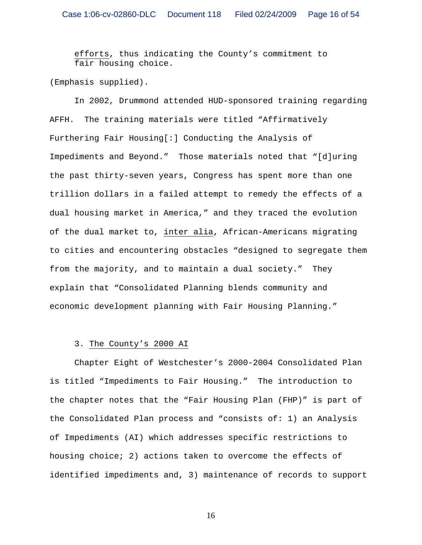efforts, thus indicating the County's commitment to fair housing choice.

(Emphasis supplied).

In 2002, Drummond attended HUD-sponsored training regarding AFFH. The training materials were titled "Affirmatively Furthering Fair Housing[:] Conducting the Analysis of Impediments and Beyond." Those materials noted that "[d]uring the past thirty-seven years, Congress has spent more than one trillion dollars in a failed attempt to remedy the effects of a dual housing market in America," and they traced the evolution of the dual market to, inter alia, African-Americans migrating to cities and encountering obstacles "designed to segregate them from the majority, and to maintain a dual society." They explain that "Consolidated Planning blends community and economic development planning with Fair Housing Planning."

## 3. The County's 2000 AI

Chapter Eight of Westchester's 2000-2004 Consolidated Plan is titled "Impediments to Fair Housing." The introduction to the chapter notes that the "Fair Housing Plan (FHP)" is part of the Consolidated Plan process and "consists of: 1) an Analysis of Impediments (AI) which addresses specific restrictions to housing choice; 2) actions taken to overcome the effects of identified impediments and, 3) maintenance of records to support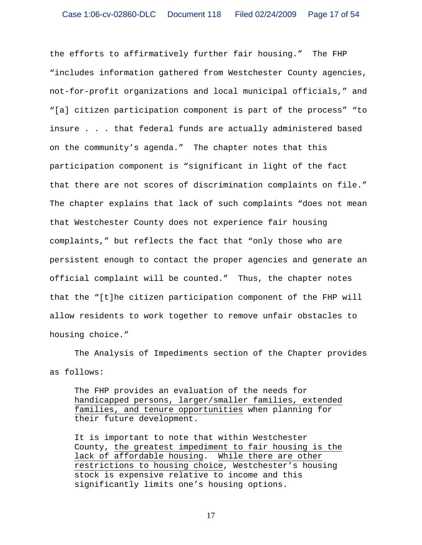the efforts to affirmatively further fair housing." The FHP "includes information gathered from Westchester County agencies, not-for-profit organizations and local municipal officials," and "[a] citizen participation component is part of the process" "to insure . . . that federal funds are actually administered based on the community's agenda." The chapter notes that this participation component is "significant in light of the fact that there are not scores of discrimination complaints on file." The chapter explains that lack of such complaints "does not mean that Westchester County does not experience fair housing complaints," but reflects the fact that "only those who are persistent enough to contact the proper agencies and generate an official complaint will be counted." Thus, the chapter notes that the "[t]he citizen participation component of the FHP will allow residents to work together to remove unfair obstacles to housing choice."

The Analysis of Impediments section of the Chapter provides as follows:

The FHP provides an evaluation of the needs for handicapped persons, larger/smaller families, extended families, and tenure opportunities when planning for their future development.

It is important to note that within Westchester County, the greatest impediment to fair housing is the lack of affordable housing. While there are other restrictions to housing choice, Westchester's housing stock is expensive relative to income and this significantly limits one's housing options.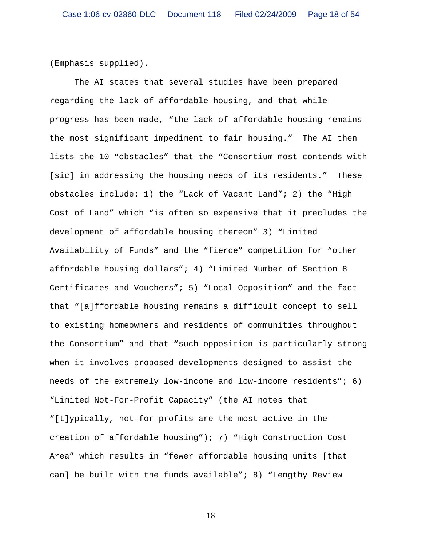(Emphasis supplied).

The AI states that several studies have been prepared regarding the lack of affordable housing, and that while progress has been made, "the lack of affordable housing remains the most significant impediment to fair housing." The AI then lists the 10 "obstacles" that the "Consortium most contends with [sic] in addressing the housing needs of its residents." These obstacles include: 1) the "Lack of Vacant Land"; 2) the "High Cost of Land" which "is often so expensive that it precludes the development of affordable housing thereon" 3) "Limited Availability of Funds" and the "fierce" competition for "other affordable housing dollars"; 4) "Limited Number of Section 8 Certificates and Vouchers"; 5) "Local Opposition" and the fact that "[a]ffordable housing remains a difficult concept to sell to existing homeowners and residents of communities throughout the Consortium" and that "such opposition is particularly strong when it involves proposed developments designed to assist the needs of the extremely low-income and low-income residents"; 6) "Limited Not-For-Profit Capacity" (the AI notes that "[t]ypically, not-for-profits are the most active in the creation of affordable housing"); 7) "High Construction Cost Area" which results in "fewer affordable housing units [that can] be built with the funds available"; 8) "Lengthy Review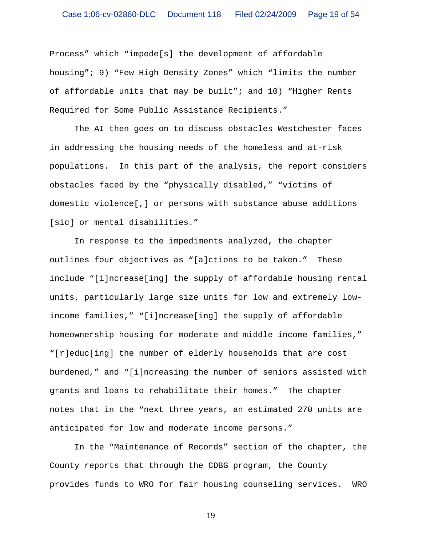Process" which "impede[s] the development of affordable housing"; 9) "Few High Density Zones" which "limits the number of affordable units that may be built"; and  $10$ ) "Higher Rents Required for Some Public Assistance Recipients."

The AI then goes on to discuss obstacles Westchester faces in addressing the housing needs of the homeless and at-risk populations. In this part of the analysis, the report considers obstacles faced by the "physically disabled," "victims of domestic violence[,] or persons with substance abuse additions [sic] or mental disabilities."

In response to the impediments analyzed, the chapter outlines four objectives as "[a]ctions to be taken." These include "[i]ncrease[ing] the supply of affordable housing rental units, particularly large size units for low and extremely lowincome families," "[i]ncrease[ing] the supply of affordable homeownership housing for moderate and middle income families," "[r]educ[ing] the number of elderly households that are cost burdened," and "[i]ncreasing the number of seniors assisted with grants and loans to rehabilitate their homes." The chapter notes that in the "next three years, an estimated 270 units are anticipated for low and moderate income persons."

In the "Maintenance of Records" section of the chapter, the County reports that through the CDBG program, the County provides funds to WRO for fair housing counseling services. WRO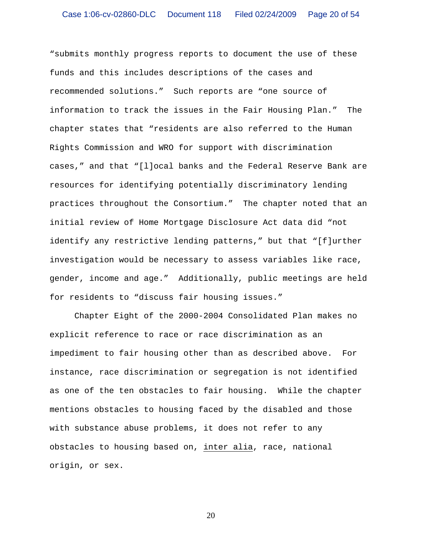"submits monthly progress reports to document the use of these funds and this includes descriptions of the cases and recommended solutions." Such reports are "one source of information to track the issues in the Fair Housing Plan." The chapter states that "residents are also referred to the Human Rights Commission and WRO for support with discrimination cases," and that "[l]ocal banks and the Federal Reserve Bank are resources for identifying potentially discriminatory lending practices throughout the Consortium." The chapter noted that an initial review of Home Mortgage Disclosure Act data did "not identify any restrictive lending patterns," but that "[f]urther investigation would be necessary to assess variables like race, gender, income and age." Additionally, public meetings are held for residents to "discuss fair housing issues."

Chapter Eight of the 2000-2004 Consolidated Plan makes no explicit reference to race or race discrimination as an impediment to fair housing other than as described above. For instance, race discrimination or segregation is not identified as one of the ten obstacles to fair housing. While the chapter mentions obstacles to housing faced by the disabled and those with substance abuse problems, it does not refer to any obstacles to housing based on, inter alia, race, national origin, or sex.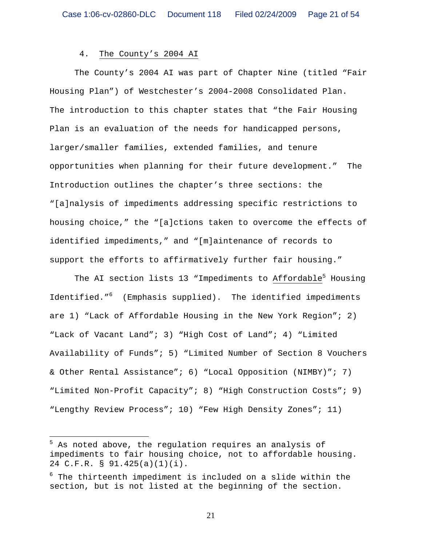## 4. The County's 2004 AI

The County's 2004 AI was part of Chapter Nine (titled "Fair Housing Plan") of Westchester's 2004-2008 Consolidated Plan. The introduction to this chapter states that "the Fair Housing Plan is an evaluation of the needs for handicapped persons, larger/smaller families, extended families, and tenure opportunities when planning for their future development." The Introduction outlines the chapter's three sections: the "[a]nalysis of impediments addressing specific restrictions to housing choice," the "[a]ctions taken to overcome the effects of identified impediments," and "[m]aintenance of records to support the efforts to affirmatively further fair housing."

The AI section lists 13 "Impediments to Affordable<sup>5</sup> Housing Identified."<sup>6</sup> (Emphasis supplied). The identified impediments are 1) "Lack of Affordable Housing in the New York Region"; 2) "Lack of Vacant Land"; 3) "High Cost of Land"; 4) "Limited Availability of Funds"; 5) "Limited Number of Section 8 Vouchers & Other Rental Assistance"; 6) "Local Opposition (NIMBY)"; 7) "Limited Non-Profit Capacity"; 8) "High Construction Costs"; 9) "Lengthy Review Process"; 10) "Few High Density Zones"; 11)

 $\overline{a}$ 

<sup>&</sup>lt;sup>5</sup> As noted above, the regulation requires an analysis of impediments to fair housing choice, not to affordable housing. 24 C.F.R. § 91.425(a)(1)(i).

 $^6$  The thirteenth impediment is included on a slide within the section, but is not listed at the beginning of the section.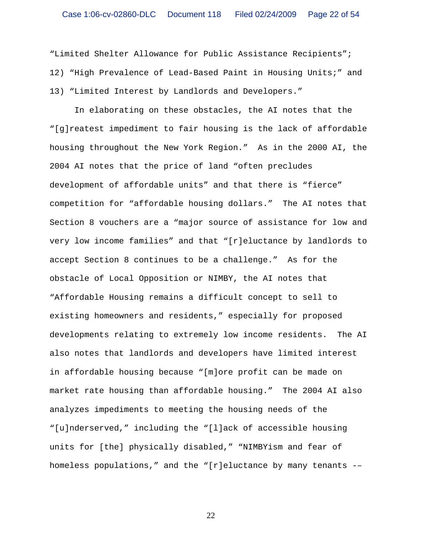"Limited Shelter Allowance for Public Assistance Recipients"; 12) "High Prevalence of Lead-Based Paint in Housing Units;" and 13) "Limited Interest by Landlords and Developers."

In elaborating on these obstacles, the AI notes that the "[g]reatest impediment to fair housing is the lack of affordable housing throughout the New York Region." As in the 2000 AI, the 2004 AI notes that the price of land "often precludes development of affordable units" and that there is "fierce" competition for "affordable housing dollars." The AI notes that Section 8 vouchers are a "major source of assistance for low and very low income families" and that "[r]eluctance by landlords to accept Section 8 continues to be a challenge." As for the obstacle of Local Opposition or NIMBY, the AI notes that "Affordable Housing remains a difficult concept to sell to existing homeowners and residents," especially for proposed developments relating to extremely low income residents. The AI also notes that landlords and developers have limited interest in affordable housing because "[m]ore profit can be made on market rate housing than affordable housing." The 2004 AI also analyzes impediments to meeting the housing needs of the "[u]nderserved," including the "[l]ack of accessible housing units for [the] physically disabled," "NIMBYism and fear of homeless populations," and the "[r]eluctance by many tenants -–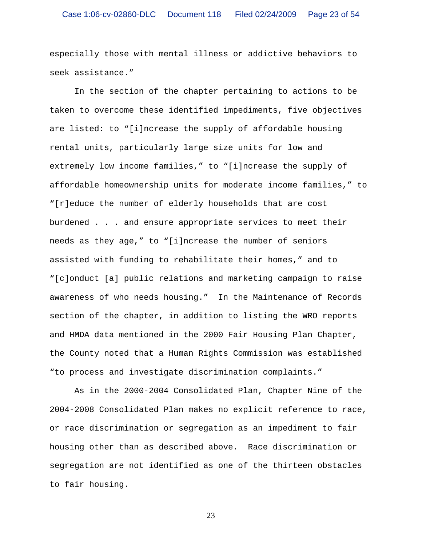especially those with mental illness or addictive behaviors to seek assistance."

In the section of the chapter pertaining to actions to be taken to overcome these identified impediments, five objectives are listed: to "[i]ncrease the supply of affordable housing rental units, particularly large size units for low and extremely low income families," to "[i]ncrease the supply of affordable homeownership units for moderate income families," to "[r]educe the number of elderly households that are cost burdened . . . and ensure appropriate services to meet their needs as they age," to "[i]ncrease the number of seniors assisted with funding to rehabilitate their homes," and to "[c]onduct [a] public relations and marketing campaign to raise awareness of who needs housing." In the Maintenance of Records section of the chapter, in addition to listing the WRO reports and HMDA data mentioned in the 2000 Fair Housing Plan Chapter, the County noted that a Human Rights Commission was established "to process and investigate discrimination complaints."

As in the 2000-2004 Consolidated Plan, Chapter Nine of the 2004-2008 Consolidated Plan makes no explicit reference to race, or race discrimination or segregation as an impediment to fair housing other than as described above. Race discrimination or segregation are not identified as one of the thirteen obstacles to fair housing.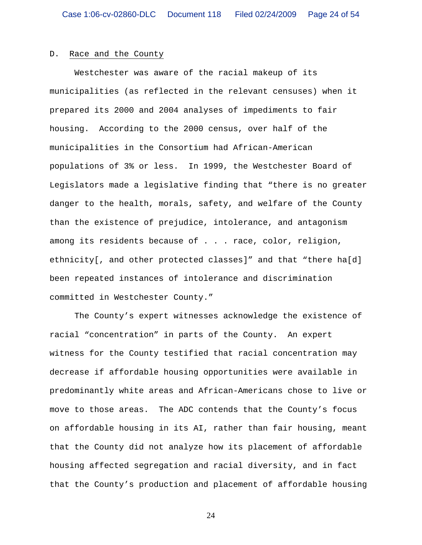#### D. Race and the County

Westchester was aware of the racial makeup of its municipalities (as reflected in the relevant censuses) when it prepared its 2000 and 2004 analyses of impediments to fair housing. According to the 2000 census, over half of the municipalities in the Consortium had African-American populations of 3% or less. In 1999, the Westchester Board of Legislators made a legislative finding that "there is no greater danger to the health, morals, safety, and welfare of the County than the existence of prejudice, intolerance, and antagonism among its residents because of . . . race, color, religion, ethnicity[, and other protected classes]" and that "there ha[d] been repeated instances of intolerance and discrimination committed in Westchester County."

The County's expert witnesses acknowledge the existence of racial "concentration" in parts of the County. An expert witness for the County testified that racial concentration may decrease if affordable housing opportunities were available in predominantly white areas and African-Americans chose to live or move to those areas. The ADC contends that the County's focus on affordable housing in its AI, rather than fair housing, meant that the County did not analyze how its placement of affordable housing affected segregation and racial diversity, and in fact that the County's production and placement of affordable housing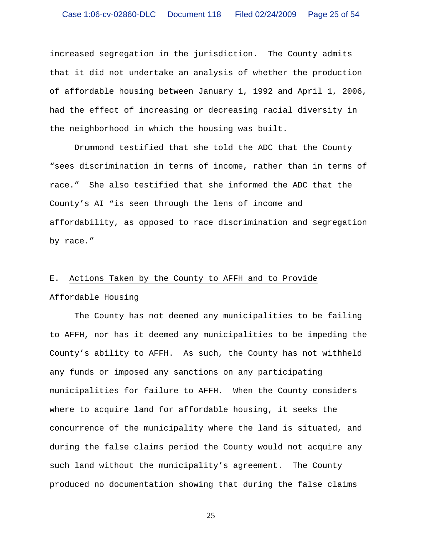increased segregation in the jurisdiction.The County admits that it did not undertake an analysis of whether the production of affordable housing between January 1, 1992 and April 1, 2006, had the effect of increasing or decreasing racial diversity in the neighborhood in which the housing was built.

Drummond testified that she told the ADC that the County "sees discrimination in terms of income, rather than in terms of race." She also testified that she informed the ADC that the County's AI "is seen through the lens of income and affordability, as opposed to race discrimination and segregation by race."

# E. Actions Taken by the County to AFFH and to Provide Affordable Housing

The County has not deemed any municipalities to be failing to AFFH, nor has it deemed any municipalities to be impeding the County's ability to AFFH. As such, the County has not withheld any funds or imposed any sanctions on any participating municipalities for failure to AFFH. When the County considers where to acquire land for affordable housing, it seeks the concurrence of the municipality where the land is situated, and during the false claims period the County would not acquire any such land without the municipality's agreement. The County produced no documentation showing that during the false claims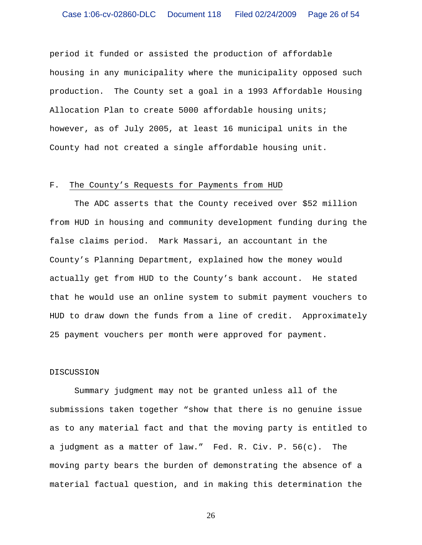period it funded or assisted the production of affordable housing in any municipality where the municipality opposed such production. The County set a goal in a 1993 Affordable Housing Allocation Plan to create 5000 affordable housing units; however, as of July 2005, at least 16 municipal units in the County had not created a single affordable housing unit.

#### F. The County's Requests for Payments from HUD

 The ADC asserts that the County received over \$52 million from HUD in housing and community development funding during the false claims period. Mark Massari, an accountant in the County's Planning Department, explained how the money would actually get from HUD to the County's bank account. He stated that he would use an online system to submit payment vouchers to HUD to draw down the funds from a line of credit. Approximately 25 payment vouchers per month were approved for payment.

#### DISCUSSION

Summary judgment may not be granted unless all of the submissions taken together "show that there is no genuine issue as to any material fact and that the moving party is entitled to a judgment as a matter of law." Fed. R. Civ. P. 56(c). The moving party bears the burden of demonstrating the absence of a material factual question, and in making this determination the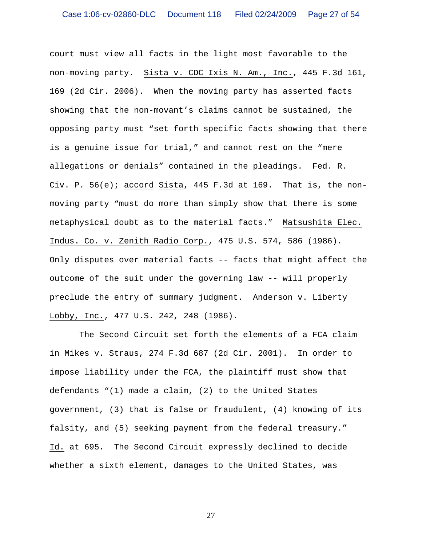court must view all facts in the light most favorable to the non-moving party. Sista v. CDC Ixis N. Am., Inc., 445 F.3d 161, 169 (2d Cir. 2006). When the moving party has asserted facts showing that the non-movant's claims cannot be sustained, the opposing party must "set forth specific facts showing that there is a genuine issue for trial," and cannot rest on the "mere allegations or denials" contained in the pleadings. Fed. R. Civ. P. 56(e); accord Sista, 445 F.3d at 169. That is, the nonmoving party "must do more than simply show that there is some metaphysical doubt as to the material facts." Matsushita Elec. Indus. Co. v. Zenith Radio Corp., 475 U.S. 574, 586 (1986). Only disputes over material facts -- facts that might affect the outcome of the suit under the governing law -- will properly preclude the entry of summary judgment. Anderson v. Liberty Lobby, Inc., 477 U.S. 242, 248 (1986).

 The Second Circuit set forth the elements of a FCA claim in Mikes v. Straus, 274 F.3d 687 (2d Cir. 2001). In order to impose liability under the FCA, the plaintiff must show that defendants "(1) made a claim, (2) to the United States government, (3) that is false or fraudulent, (4) knowing of its falsity, and (5) seeking payment from the federal treasury." Id. at 695. The Second Circuit expressly declined to decide whether a sixth element, damages to the United States, was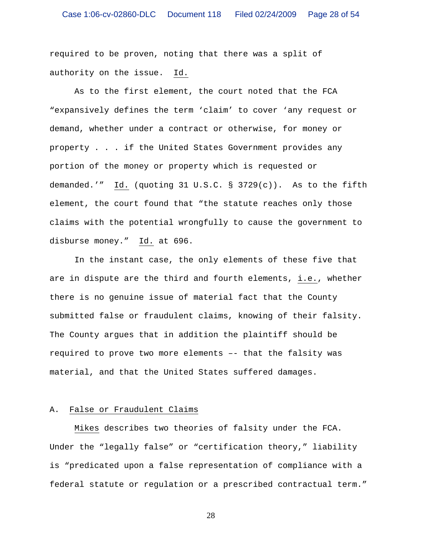required to be proven, noting that there was a split of authority on the issue. Id.

As to the first element, the court noted that the FCA "expansively defines the term 'claim' to cover 'any request or demand, whether under a contract or otherwise, for money or property . . . if the United States Government provides any portion of the money or property which is requested or demanded.'" Id. (quoting 31 U.S.C. § 3729(c)). As to the fifth element, the court found that "the statute reaches only those claims with the potential wrongfully to cause the government to disburse money." Id. at 696.

In the instant case, the only elements of these five that are in dispute are the third and fourth elements, i.e., whether there is no genuine issue of material fact that the County submitted false or fraudulent claims, knowing of their falsity. The County argues that in addition the plaintiff should be required to prove two more elements –- that the falsity was material, and that the United States suffered damages.

## A. False or Fraudulent Claims

 Mikes describes two theories of falsity under the FCA. Under the "legally false" or "certification theory," liability is "predicated upon a false representation of compliance with a federal statute or regulation or a prescribed contractual term."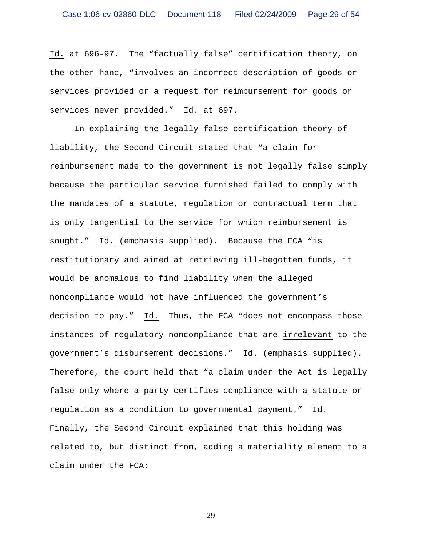Id. at 696-97. The "factually false" certification theory, on the other hand, "involves an incorrect description of goods or services provided or a request for reimbursement for goods or services never provided." Id. at 697.

 In explaining the legally false certification theory of liability, the Second Circuit stated that "a claim for reimbursement made to the government is not legally false simply because the particular service furnished failed to comply with the mandates of a statute, regulation or contractual term that is only tangential to the service for which reimbursement is sought." Id. (emphasis supplied). Because the FCA "is restitutionary and aimed at retrieving ill-begotten funds, it would be anomalous to find liability when the alleged noncompliance would not have influenced the government's decision to pay." Id. Thus, the FCA "does not encompass those instances of regulatory noncompliance that are irrelevant to the government's disbursement decisions." Id. (emphasis supplied). Therefore, the court held that "a claim under the Act is legally false only where a party certifies compliance with a statute or regulation as a condition to governmental payment." Id. Finally, the Second Circuit explained that this holding was related to, but distinct from, adding a materiality element to a claim under the FCA: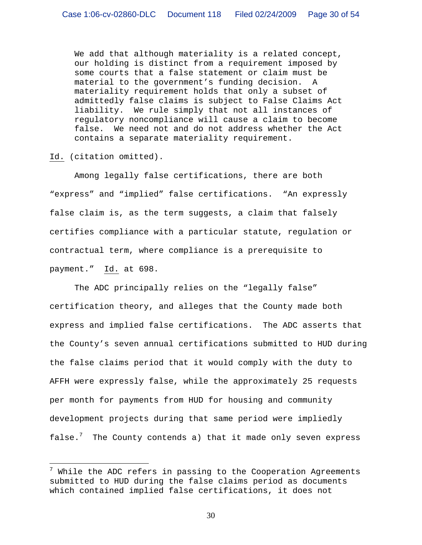We add that although materiality is a related concept, our holding is distinct from a requirement imposed by some courts that a false statement or claim must be material to the government's funding decision. A materiality requirement holds that only a subset of admittedly false claims is subject to False Claims Act liability. We rule simply that not all instances of regulatory noncompliance will cause a claim to become false. We need not and do not address whether the Act contains a separate materiality requirement.

Id. (citation omitted).

 $\overline{a}$ 

 Among legally false certifications, there are both "express" and "implied" false certifications. "An expressly false claim is, as the term suggests, a claim that falsely certifies compliance with a particular statute, regulation or contractual term, where compliance is a prerequisite to payment." Id. at 698.

The ADC principally relies on the "legally false" certification theory, and alleges that the County made both express and implied false certifications. The ADC asserts that the County's seven annual certifications submitted to HUD during the false claims period that it would comply with the duty to AFFH were expressly false, while the approximately 25 requests per month for payments from HUD for housing and community development projects during that same period were impliedly false.<sup>7</sup> The County contends a) that it made only seven express

 $^7$  While the ADC refers in passing to the Cooperation Agreements submitted to HUD during the false claims period as documents which contained implied false certifications, it does not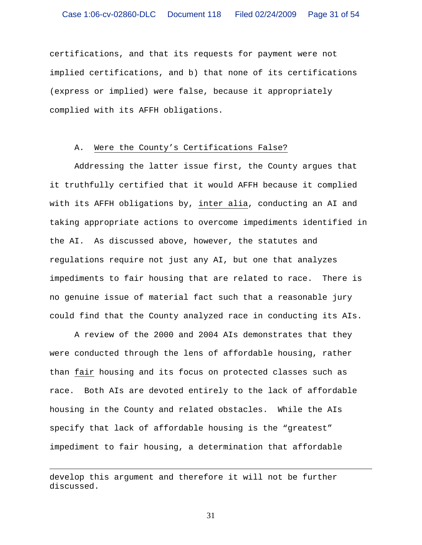certifications, and that its requests for payment were not implied certifications, and b) that none of its certifications (express or implied) were false, because it appropriately complied with its AFFH obligations.

## A. Were the County's Certifications False?

Addressing the latter issue first, the County argues that it truthfully certified that it would AFFH because it complied with its AFFH obligations by, inter alia, conducting an AI and taking appropriate actions to overcome impediments identified in the AI. As discussed above, however, the statutes and regulations require not just any AI, but one that analyzes impediments to fair housing that are related to race. There is no genuine issue of material fact such that a reasonable jury could find that the County analyzed race in conducting its AIs.

A review of the 2000 and 2004 AIs demonstrates that they were conducted through the lens of affordable housing, rather than fair housing and its focus on protected classes such as race. Both AIs are devoted entirely to the lack of affordable housing in the County and related obstacles. While the AIs specify that lack of affordable housing is the "greatest" impediment to fair housing, a determination that affordable

 $\overline{a}$ 

develop this argument and therefore it will not be further discussed.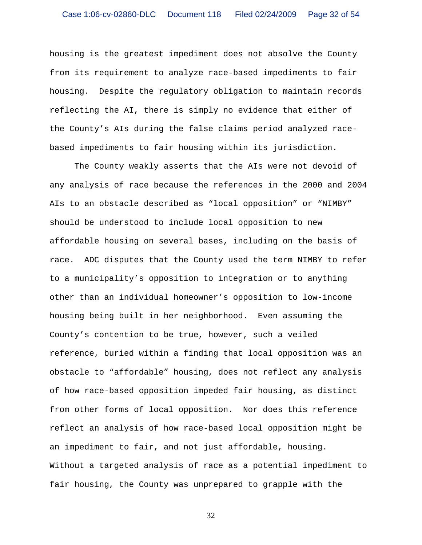housing is the greatest impediment does not absolve the County from its requirement to analyze race-based impediments to fair housing. Despite the regulatory obligation to maintain records reflecting the AI, there is simply no evidence that either of the County's AIs during the false claims period analyzed racebased impediments to fair housing within its jurisdiction.

The County weakly asserts that the AIs were not devoid of any analysis of race because the references in the 2000 and 2004 AIs to an obstacle described as "local opposition" or "NIMBY" should be understood to include local opposition to new affordable housing on several bases, including on the basis of race. ADC disputes that the County used the term NIMBY to refer to a municipality's opposition to integration or to anything other than an individual homeowner's opposition to low-income housing being built in her neighborhood. Even assuming the County's contention to be true, however, such a veiled reference, buried within a finding that local opposition was an obstacle to "affordable" housing, does not reflect any analysis of how race-based opposition impeded fair housing, as distinct from other forms of local opposition. Nor does this reference reflect an analysis of how race-based local opposition might be an impediment to fair, and not just affordable, housing. Without a targeted analysis of race as a potential impediment to fair housing, the County was unprepared to grapple with the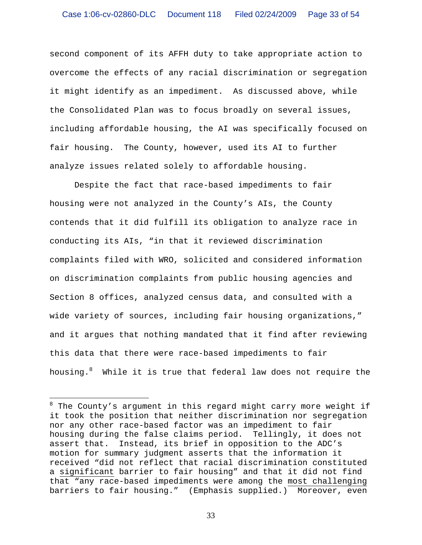second component of its AFFH duty to take appropriate action to overcome the effects of any racial discrimination or segregation it might identify as an impediment. As discussed above, while the Consolidated Plan was to focus broadly on several issues, including affordable housing, the AI was specifically focused on fair housing. The County, however, used its AI to further analyze issues related solely to affordable housing.

Despite the fact that race-based impediments to fair housing were not analyzed in the County's AIs, the County contends that it did fulfill its obligation to analyze race in conducting its AIs, "in that it reviewed discrimination complaints filed with WRO, solicited and considered information on discrimination complaints from public housing agencies and Section 8 offices, analyzed census data, and consulted with a wide variety of sources, including fair housing organizations," and it argues that nothing mandated that it find after reviewing this data that there were race-based impediments to fair housing.<sup>8</sup> While it is true that federal law does not require the

 $\overline{a}$ 

 $^8$  The County's argument in this regard might carry more weight if it took the position that neither discrimination nor segregation nor any other race-based factor was an impediment to fair housing during the false claims period. Tellingly, it does not assert that. Instead, its brief in opposition to the ADC's motion for summary judgment asserts that the information it received "did not reflect that racial discrimination constituted a significant barrier to fair housing" and that it did not find that "any race-based impediments were among the most challenging barriers to fair housing." (Emphasis supplied.) Moreover, even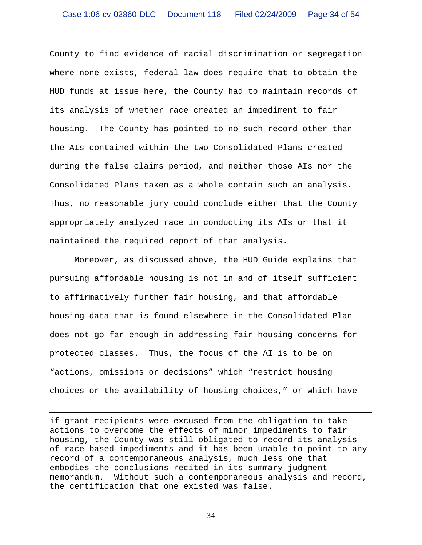County to find evidence of racial discrimination or segregation where none exists, federal law does require that to obtain the HUD funds at issue here, the County had to maintain records of its analysis of whether race created an impediment to fair housing. The County has pointed to no such record other than the AIs contained within the two Consolidated Plans created during the false claims period, and neither those AIs nor the Consolidated Plans taken as a whole contain such an analysis. Thus, no reasonable jury could conclude either that the County appropriately analyzed race in conducting its AIs or that it maintained the required report of that analysis.

Moreover, as discussed above, the HUD Guide explains that pursuing affordable housing is not in and of itself sufficient to affirmatively further fair housing, and that affordable housing data that is found elsewhere in the Consolidated Plan does not go far enough in addressing fair housing concerns for protected classes. Thus, the focus of the AI is to be on "actions, omissions or decisions" which "restrict housing choices or the availability of housing choices," or which have

if grant recipients were excused from the obligation to take actions to overcome the effects of minor impediments to fair housing, the County was still obligated to record its analysis of race-based impediments and it has been unable to point to any record of a contemporaneous analysis, much less one that embodies the conclusions recited in its summary judgment memorandum. Without such a contemporaneous analysis and record, the certification that one existed was false.

 $\overline{a}$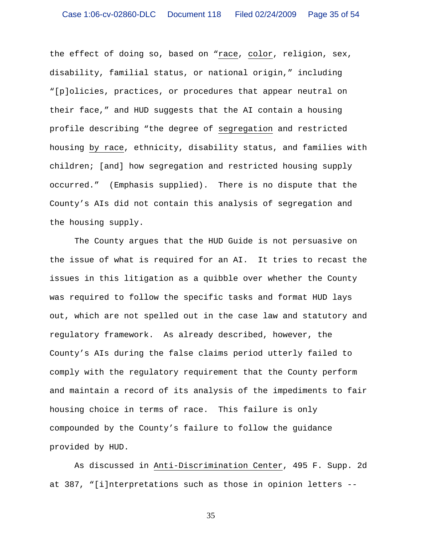the effect of doing so, based on "race, color, religion, sex, disability, familial status, or national origin," including "[p]olicies, practices, or procedures that appear neutral on their face," and HUD suggests that the AI contain a housing profile describing "the degree of segregation and restricted housing by race, ethnicity, disability status, and families with children; [and] how segregation and restricted housing supply occurred." (Emphasis supplied). There is no dispute that the County's AIs did not contain this analysis of segregation and the housing supply.

 The County argues that the HUD Guide is not persuasive on the issue of what is required for an AI. It tries to recast the issues in this litigation as a quibble over whether the County was required to follow the specific tasks and format HUD lays out, which are not spelled out in the case law and statutory and regulatory framework. As already described, however, the County's AIs during the false claims period utterly failed to comply with the regulatory requirement that the County perform and maintain a record of its analysis of the impediments to fair housing choice in terms of race. This failure is only compounded by the County's failure to follow the guidance provided by HUD.

As discussed in Anti-Discrimination Center, 495 F. Supp. 2d at 387, "[i]nterpretations such as those in opinion letters --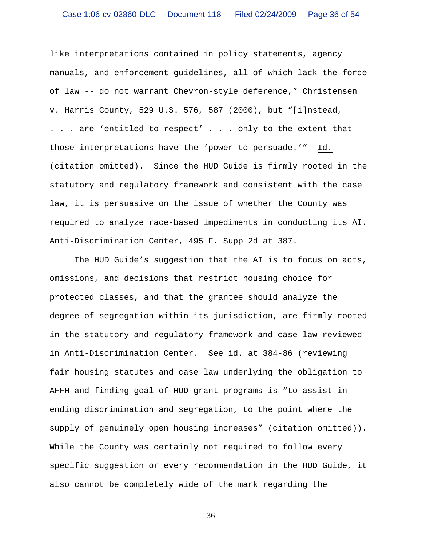like interpretations contained in policy statements, agency manuals, and enforcement guidelines, all of which lack the force of law -- do not warrant Chevron-style deference," Christensen v. Harris County, 529 U.S. 576, 587 (2000), but "[i]nstead, . . . are 'entitled to respect' . . . only to the extent that those interpretations have the 'power to persuade.'" Id. (citation omitted). Since the HUD Guide is firmly rooted in the statutory and regulatory framework and consistent with the case law, it is persuasive on the issue of whether the County was required to analyze race-based impediments in conducting its AI. Anti-Discrimination Center, 495 F. Supp 2d at 387.

The HUD Guide's suggestion that the AI is to focus on acts, omissions, and decisions that restrict housing choice for protected classes, and that the grantee should analyze the degree of segregation within its jurisdiction, are firmly rooted in the statutory and regulatory framework and case law reviewed in Anti-Discrimination Center. See id. at 384-86 (reviewing fair housing statutes and case law underlying the obligation to AFFH and finding goal of HUD grant programs is "to assist in ending discrimination and segregation, to the point where the supply of genuinely open housing increases" (citation omitted)). While the County was certainly not required to follow every specific suggestion or every recommendation in the HUD Guide, it also cannot be completely wide of the mark regarding the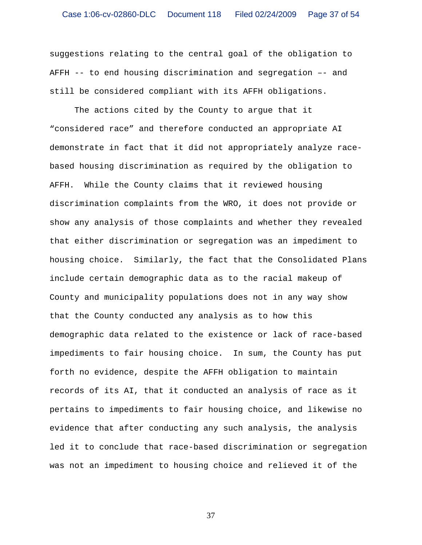suggestions relating to the central goal of the obligation to AFFH -- to end housing discrimination and segregation –- and still be considered compliant with its AFFH obligations.

The actions cited by the County to argue that it "considered race" and therefore conducted an appropriate AI demonstrate in fact that it did not appropriately analyze racebased housing discrimination as required by the obligation to AFFH. While the County claims that it reviewed housing discrimination complaints from the WRO, it does not provide or show any analysis of those complaints and whether they revealed that either discrimination or segregation was an impediment to housing choice. Similarly, the fact that the Consolidated Plans include certain demographic data as to the racial makeup of County and municipality populations does not in any way show that the County conducted any analysis as to how this demographic data related to the existence or lack of race-based impediments to fair housing choice. In sum, the County has put forth no evidence, despite the AFFH obligation to maintain records of its AI, that it conducted an analysis of race as it pertains to impediments to fair housing choice, and likewise no evidence that after conducting any such analysis, the analysis led it to conclude that race-based discrimination or segregation was not an impediment to housing choice and relieved it of the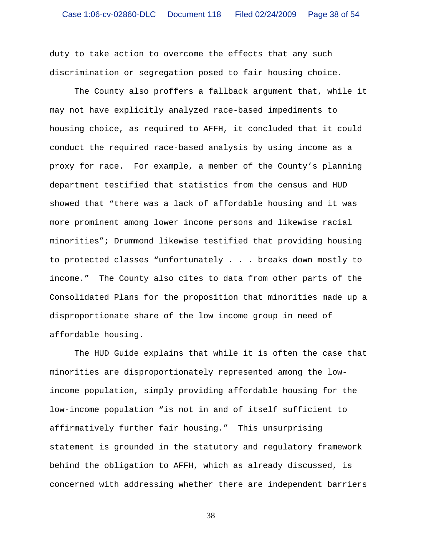duty to take action to overcome the effects that any such discrimination or segregation posed to fair housing choice.

 The County also proffers a fallback argument that, while it may not have explicitly analyzed race-based impediments to housing choice, as required to AFFH, it concluded that it could conduct the required race-based analysis by using income as a proxy for race. For example, a member of the County's planning department testified that statistics from the census and HUD showed that "there was a lack of affordable housing and it was more prominent among lower income persons and likewise racial minorities"; Drummond likewise testified that providing housing to protected classes "unfortunately . . . breaks down mostly to income." The County also cites to data from other parts of the Consolidated Plans for the proposition that minorities made up a disproportionate share of the low income group in need of affordable housing.

The HUD Guide explains that while it is often the case that minorities are disproportionately represented among the lowincome population, simply providing affordable housing for the low-income population "is not in and of itself sufficient to affirmatively further fair housing." This unsurprising statement is grounded in the statutory and regulatory framework behind the obligation to AFFH, which as already discussed, is concerned with addressing whether there are independent barriers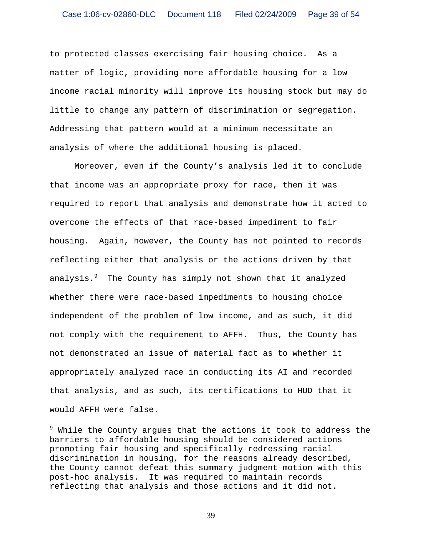to protected classes exercising fair housing choice. As a matter of logic, providing more affordable housing for a low income racial minority will improve its housing stock but may do little to change any pattern of discrimination or segregation. Addressing that pattern would at a minimum necessitate an analysis of where the additional housing is placed.

Moreover, even if the County's analysis led it to conclude that income was an appropriate proxy for race, then it was required to report that analysis and demonstrate how it acted to overcome the effects of that race-based impediment to fair housing. Again, however, the County has not pointed to records reflecting either that analysis or the actions driven by that analysis.<sup>9</sup> The County has simply not shown that it analyzed whether there were race-based impediments to housing choice independent of the problem of low income, and as such, it did not comply with the requirement to AFFH. Thus, the County has not demonstrated an issue of material fact as to whether it appropriately analyzed race in conducting its AI and recorded that analysis, and as such, its certifications to HUD that it would AFFH were false.

 $\overline{a}$ 

 $^9$  While the County argues that the actions it took to address the barriers to affordable housing should be considered actions promoting fair housing and specifically redressing racial discrimination in housing, for the reasons already described, the County cannot defeat this summary judgment motion with this post-hoc analysis. It was required to maintain records reflecting that analysis and those actions and it did not.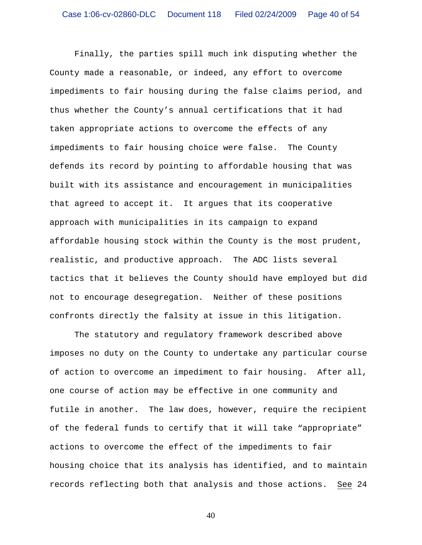Finally, the parties spill much ink disputing whether the County made a reasonable, or indeed, any effort to overcome impediments to fair housing during the false claims period, and thus whether the County's annual certifications that it had taken appropriate actions to overcome the effects of any impediments to fair housing choice were false. The County defends its record by pointing to affordable housing that was built with its assistance and encouragement in municipalities that agreed to accept it. It argues that its cooperative approach with municipalities in its campaign to expand affordable housing stock within the County is the most prudent, realistic, and productive approach. The ADC lists several tactics that it believes the County should have employed but did not to encourage desegregation. Neither of these positions confronts directly the falsity at issue in this litigation.

The statutory and regulatory framework described above imposes no duty on the County to undertake any particular course of action to overcome an impediment to fair housing. After all, one course of action may be effective in one community and futile in another. The law does, however, require the recipient of the federal funds to certify that it will take "appropriate" actions to overcome the effect of the impediments to fair housing choice that its analysis has identified, and to maintain records reflecting both that analysis and those actions. See 24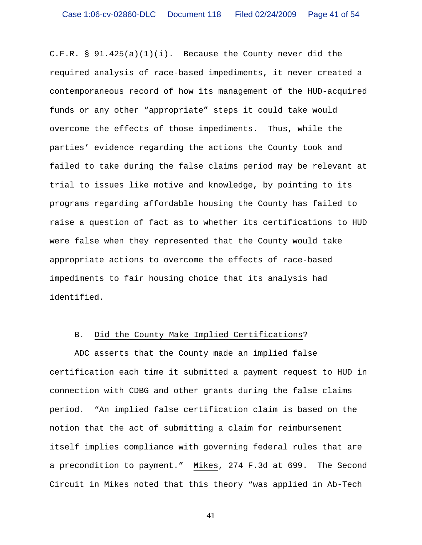C.F.R.  $\S$  91.425(a)(1)(i). Because the County never did the required analysis of race-based impediments, it never created a contemporaneous record of how its management of the HUD-acquired funds or any other "appropriate" steps it could take would overcome the effects of those impediments. Thus, while the parties' evidence regarding the actions the County took and failed to take during the false claims period may be relevant at trial to issues like motive and knowledge, by pointing to its programs regarding affordable housing the County has failed to raise a question of fact as to whether its certifications to HUD were false when they represented that the County would take appropriate actions to overcome the effects of race-based impediments to fair housing choice that its analysis had identified.

#### B. Did the County Make Implied Certifications?

ADC asserts that the County made an implied false certification each time it submitted a payment request to HUD in connection with CDBG and other grants during the false claims period. "An implied false certification claim is based on the notion that the act of submitting a claim for reimbursement itself implies compliance with governing federal rules that are a precondition to payment." Mikes, 274 F.3d at 699. The Second Circuit in Mikes noted that this theory "was applied in Ab-Tech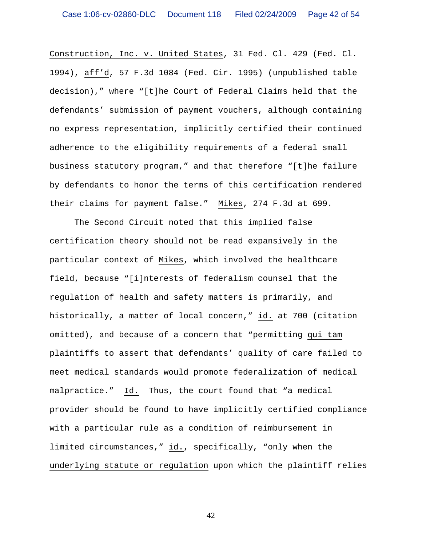Construction, Inc. v. United States, 31 Fed. Cl. 429 (Fed. Cl. 1994), aff'd, 57 F.3d 1084 (Fed. Cir. 1995) (unpublished table decision)," where "[t]he Court of Federal Claims held that the defendants' submission of payment vouchers, although containing no express representation, implicitly certified their continued adherence to the eligibility requirements of a federal small business statutory program," and that therefore "[t]he failure by defendants to honor the terms of this certification rendered their claims for payment false." Mikes, 274 F.3d at 699.

The Second Circuit noted that this implied false certification theory should not be read expansively in the particular context of Mikes, which involved the healthcare field, because "[i]nterests of federalism counsel that the regulation of health and safety matters is primarily, and historically, a matter of local concern," id. at 700 (citation omitted), and because of a concern that "permitting qui tam plaintiffs to assert that defendants' quality of care failed to meet medical standards would promote federalization of medical malpractice." Id. Thus, the court found that "a medical provider should be found to have implicitly certified compliance with a particular rule as a condition of reimbursement in limited circumstances," id., specifically, "only when the underlying statute or regulation upon which the plaintiff relies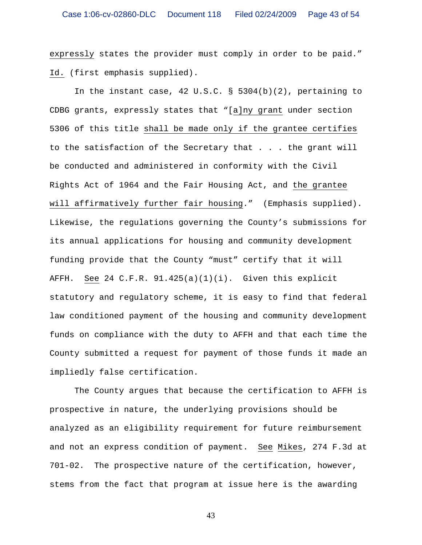expressly states the provider must comply in order to be paid." Id. (first emphasis supplied).

In the instant case, 42 U.S.C. § 5304(b)(2), pertaining to CDBG grants, expressly states that "[a]ny grant under section 5306 of this title shall be made only if the grantee certifies to the satisfaction of the Secretary that . . . the grant will be conducted and administered in conformity with the Civil Rights Act of 1964 and the Fair Housing Act, and the grantee will affirmatively further fair housing." (Emphasis supplied). Likewise, the regulations governing the County's submissions for its annual applications for housing and community development funding provide that the County "must" certify that it will AFFH. See 24 C.F.R. 91.425(a)(1)(i). Given this explicit statutory and regulatory scheme, it is easy to find that federal law conditioned payment of the housing and community development funds on compliance with the duty to AFFH and that each time the County submitted a request for payment of those funds it made an impliedly false certification.

The County argues that because the certification to AFFH is prospective in nature, the underlying provisions should be analyzed as an eligibility requirement for future reimbursement and not an express condition of payment. See Mikes, 274 F.3d at 701-02. The prospective nature of the certification, however, stems from the fact that program at issue here is the awarding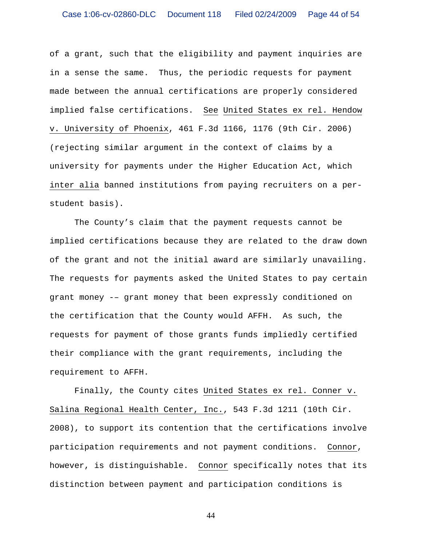of a grant, such that the eligibility and payment inquiries are in a sense the same. Thus, the periodic requests for payment made between the annual certifications are properly considered implied false certifications. See United States ex rel. Hendow v. University of Phoenix, 461 F.3d 1166, 1176 (9th Cir. 2006) (rejecting similar argument in the context of claims by a university for payments under the Higher Education Act, which inter alia banned institutions from paying recruiters on a perstudent basis).

The County's claim that the payment requests cannot be implied certifications because they are related to the draw down of the grant and not the initial award are similarly unavailing. The requests for payments asked the United States to pay certain grant money -– grant money that been expressly conditioned on the certification that the County would AFFH. As such, the requests for payment of those grants funds impliedly certified their compliance with the grant requirements, including the requirement to AFFH.

Finally, the County cites United States ex rel. Conner v. Salina Regional Health Center, Inc., 543 F.3d 1211 (10th Cir. 2008), to support its contention that the certifications involve participation requirements and not payment conditions. Connor, however, is distinguishable. Connor specifically notes that its distinction between payment and participation conditions is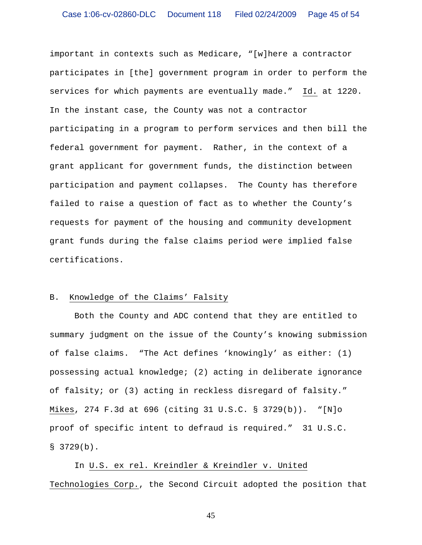important in contexts such as Medicare, "[w]here a contractor participates in [the] government program in order to perform the services for which payments are eventually made." Id. at 1220. In the instant case, the County was not a contractor participating in a program to perform services and then bill the federal government for payment. Rather, in the context of a grant applicant for government funds, the distinction between participation and payment collapses. The County has therefore failed to raise a question of fact as to whether the County's requests for payment of the housing and community development grant funds during the false claims period were implied false certifications.

## B. Knowledge of the Claims' Falsity

 Both the County and ADC contend that they are entitled to summary judgment on the issue of the County's knowing submission of false claims. "The Act defines 'knowingly' as either: (1) possessing actual knowledge; (2) acting in deliberate ignorance of falsity; or (3) acting in reckless disregard of falsity." Mikes, 274 F.3d at 696 (citing 31 U.S.C. § 3729(b)). "[N]o proof of specific intent to defraud is required." 31 U.S.C.  $$3729(b).$ 

In U.S. ex rel. Kreindler & Kreindler v. United Technologies Corp., the Second Circuit adopted the position that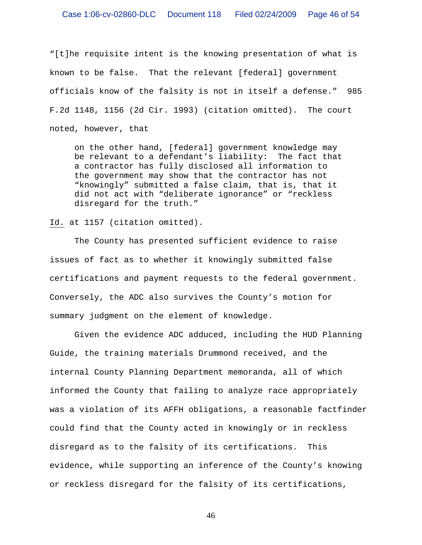"[t]he requisite intent is the knowing presentation of what is known to be false. That the relevant [federal] government officials know of the falsity is not in itself a defense." 985 F.2d 1148, 1156 (2d Cir. 1993) (citation omitted). The court noted, however, that

on the other hand, [federal] government knowledge may be relevant to a defendant's liability: The fact that a contractor has fully disclosed all information to the government may show that the contractor has not "knowingly" submitted a false claim, that is, that it did not act with "deliberate ignorance" or "reckless disregard for the truth."

Id. at 1157 (citation omitted).

 The County has presented sufficient evidence to raise issues of fact as to whether it knowingly submitted false certifications and payment requests to the federal government. Conversely, the ADC also survives the County's motion for summary judgment on the element of knowledge.

Given the evidence ADC adduced, including the HUD Planning Guide, the training materials Drummond received, and the internal County Planning Department memoranda, all of which informed the County that failing to analyze race appropriately was a violation of its AFFH obligations, a reasonable factfinder could find that the County acted in knowingly or in reckless disregard as to the falsity of its certifications. This evidence, while supporting an inference of the County's knowing or reckless disregard for the falsity of its certifications,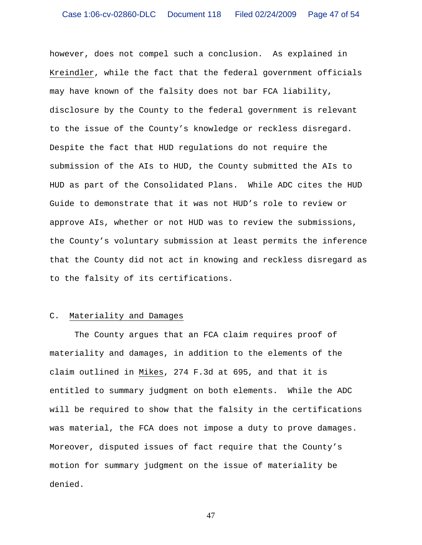however, does not compel such a conclusion. As explained in Kreindler, while the fact that the federal government officials may have known of the falsity does not bar FCA liability, disclosure by the County to the federal government is relevant to the issue of the County's knowledge or reckless disregard. Despite the fact that HUD regulations do not require the submission of the AIs to HUD, the County submitted the AIs to HUD as part of the Consolidated Plans. While ADC cites the HUD Guide to demonstrate that it was not HUD's role to review or approve AIs, whether or not HUD was to review the submissions, the County's voluntary submission at least permits the inference that the County did not act in knowing and reckless disregard as to the falsity of its certifications.

## C. Materiality and Damages

 The County argues that an FCA claim requires proof of materiality and damages, in addition to the elements of the claim outlined in Mikes, 274 F.3d at 695, and that it is entitled to summary judgment on both elements. While the ADC will be required to show that the falsity in the certifications was material, the FCA does not impose a duty to prove damages. Moreover, disputed issues of fact require that the County's motion for summary judgment on the issue of materiality be denied.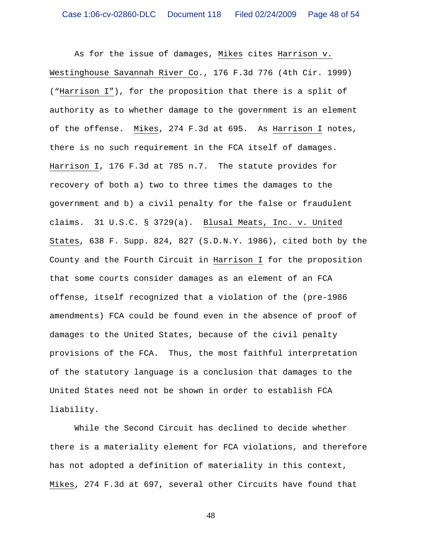As for the issue of damages, Mikes cites Harrison v. Westinghouse Savannah River Co., 176 F.3d 776 (4th Cir. 1999) ("Harrison I"), for the proposition that there is a split of authority as to whether damage to the government is an element of the offense. Mikes, 274 F.3d at 695. As Harrison I notes, there is no such requirement in the FCA itself of damages. Harrison I, 176 F.3d at 785 n.7. The statute provides for recovery of both a) two to three times the damages to the government and b) a civil penalty for the false or fraudulent claims. 31 U.S.C. § 3729(a). Blusal Meats, Inc. v. United States, 638 F. Supp. 824, 827 (S.D.N.Y. 1986), cited both by the County and the Fourth Circuit in Harrison I for the proposition that some courts consider damages as an element of an FCA offense, itself recognized that a violation of the (pre-1986 amendments) FCA could be found even in the absence of proof of damages to the United States, because of the civil penalty provisions of the FCA. Thus, the most faithful interpretation of the statutory language is a conclusion that damages to the United States need not be shown in order to establish FCA liability.

 While the Second Circuit has declined to decide whether there is a materiality element for FCA violations, and therefore has not adopted a definition of materiality in this context, Mikes, 274 F.3d at 697, several other Circuits have found that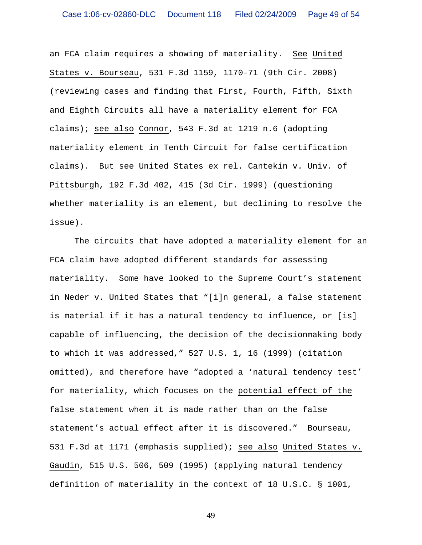an FCA claim requires a showing of materiality. See United States v. Bourseau, 531 F.3d 1159, 1170-71 (9th Cir. 2008) (reviewing cases and finding that First, Fourth, Fifth, Sixth and Eighth Circuits all have a materiality element for FCA claims); see also Connor, 543 F.3d at 1219 n.6 (adopting materiality element in Tenth Circuit for false certification claims). But see United States ex rel. Cantekin v. Univ. of Pittsburgh, 192 F.3d 402, 415 (3d Cir. 1999) (questioning whether materiality is an element, but declining to resolve the issue).

The circuits that have adopted a materiality element for an FCA claim have adopted different standards for assessing materiality. Some have looked to the Supreme Court's statement in Neder v. United States that "[i]n general, a false statement is material if it has a natural tendency to influence, or [is] capable of influencing, the decision of the decisionmaking body to which it was addressed," 527 U.S. 1, 16 (1999) (citation omitted), and therefore have "adopted a 'natural tendency test' for materiality, which focuses on the potential effect of the false statement when it is made rather than on the false statement's actual effect after it is discovered." Bourseau, 531 F.3d at 1171 (emphasis supplied); see also United States v. Gaudin, 515 U.S. 506, 509 (1995) (applying natural tendency definition of materiality in the context of 18 U.S.C. § 1001,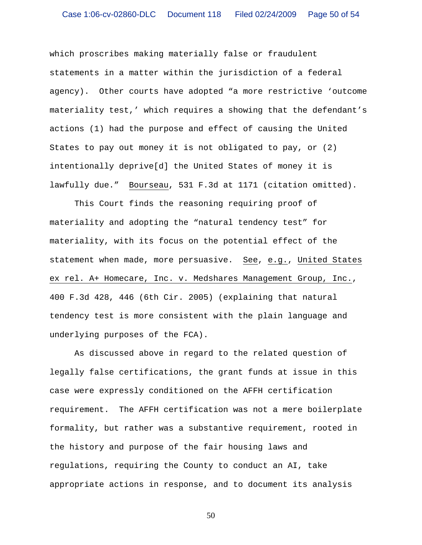which proscribes making materially false or fraudulent statements in a matter within the jurisdiction of a federal agency). Other courts have adopted "a more restrictive 'outcome materiality test,' which requires a showing that the defendant's actions (1) had the purpose and effect of causing the United States to pay out money it is not obligated to pay, or (2) intentionally deprive[d] the United States of money it is lawfully due." Bourseau, 531 F.3d at 1171 (citation omitted).

This Court finds the reasoning requiring proof of materiality and adopting the "natural tendency test" for materiality, with its focus on the potential effect of the statement when made, more persuasive. See, e.g., United States ex rel. A+ Homecare, Inc. v. Medshares Management Group, Inc., 400 F.3d 428, 446 (6th Cir. 2005) (explaining that natural tendency test is more consistent with the plain language and underlying purposes of the FCA).

As discussed above in regard to the related question of legally false certifications, the grant funds at issue in this case were expressly conditioned on the AFFH certification requirement. The AFFH certification was not a mere boilerplate formality, but rather was a substantive requirement, rooted in the history and purpose of the fair housing laws and regulations, requiring the County to conduct an AI, take appropriate actions in response, and to document its analysis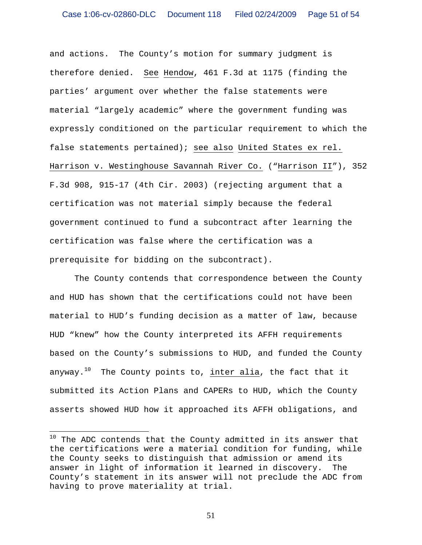and actions. The County's motion for summary judgment is therefore denied. See Hendow, 461 F.3d at 1175 (finding the parties' argument over whether the false statements were material "largely academic" where the government funding was expressly conditioned on the particular requirement to which the false statements pertained); see also United States ex rel. Harrison v. Westinghouse Savannah River Co. ("Harrison II"), 352 F.3d 908, 915-17 (4th Cir. 2003) (rejecting argument that a certification was not material simply because the federal government continued to fund a subcontract after learning the certification was false where the certification was a prerequisite for bidding on the subcontract).

The County contends that correspondence between the County and HUD has shown that the certifications could not have been material to HUD's funding decision as a matter of law, because HUD "knew" how the County interpreted its AFFH requirements based on the County's submissions to HUD, and funded the County anyway.<sup>10</sup> The County points to, inter alia, the fact that it submitted its Action Plans and CAPERs to HUD, which the County asserts showed HUD how it approached its AFFH obligations, and

 $\overline{a}$ 

 $^{10}$  The ADC contends that the County admitted in its answer that the certifications were a material condition for funding, while the County seeks to distinguish that admission or amend its answer in light of information it learned in discovery. The County's statement in its answer will not preclude the ADC from having to prove materiality at trial.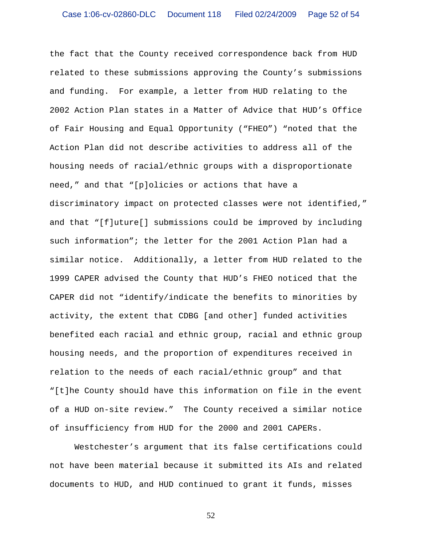the fact that the County received correspondence back from HUD related to these submissions approving the County's submissions and funding. For example, a letter from HUD relating to the 2002 Action Plan states in a Matter of Advice that HUD's Office of Fair Housing and Equal Opportunity ("FHEO") "noted that the Action Plan did not describe activities to address all of the housing needs of racial/ethnic groups with a disproportionate need," and that "[p]olicies or actions that have a discriminatory impact on protected classes were not identified," and that "[f]uture[] submissions could be improved by including such information"; the letter for the 2001 Action Plan had a similar notice.Additionally, a letter from HUD related to the 1999 CAPER advised the County that HUD's FHEO noticed that the CAPER did not "identify/indicate the benefits to minorities by activity, the extent that CDBG [and other] funded activities benefited each racial and ethnic group, racial and ethnic group housing needs, and the proportion of expenditures received in relation to the needs of each racial/ethnic group" and that "[t]he County should have this information on file in the event of a HUD on-site review." The County received a similar notice of insufficiency from HUD for the 2000 and 2001 CAPERs.

 Westchester's argument that its false certifications could not have been material because it submitted its AIs and related documents to HUD, and HUD continued to grant it funds, misses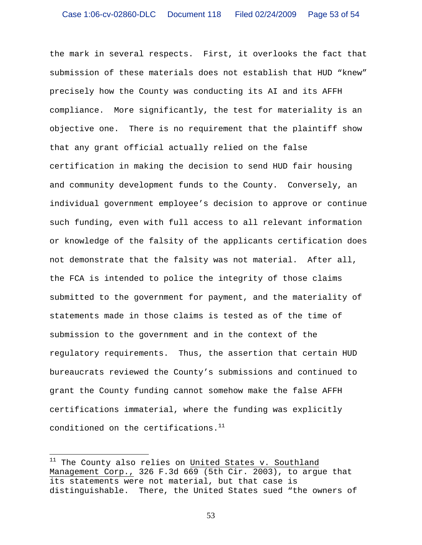the mark in several respects. First, it overlooks the fact that submission of these materials does not establish that HUD "knew" precisely how the County was conducting its AI and its AFFH compliance. More significantly, the test for materiality is an objective one. There is no requirement that the plaintiff show that any grant official actually relied on the false certification in making the decision to send HUD fair housing and community development funds to the County. Conversely, an individual government employee's decision to approve or continue such funding, even with full access to all relevant information or knowledge of the falsity of the applicants certification does not demonstrate that the falsity was not material. After all, the FCA is intended to police the integrity of those claims submitted to the government for payment, and the materiality of statements made in those claims is tested as of the time of submission to the government and in the context of the regulatory requirements. Thus, the assertion that certain HUD bureaucrats reviewed the County's submissions and continued to grant the County funding cannot somehow make the false AFFH certifications immaterial, where the funding was explicitly conditioned on the certifications.<sup>11</sup>

<sup>&</sup>lt;sup>11</sup> The County also relies on United States v. Southland Management Corp., 326 F.3d 669 (5th Cir. 2003), to argue that its statements were not material, but that case is distinguishable. There, the United States sued "the owners of